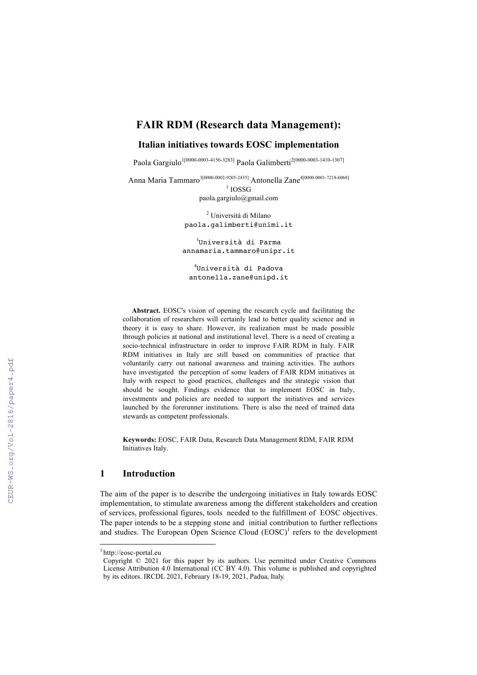## **FAIR RDM (Research data Management):**

## **Italian initiatives towards EOSC implementation**

Paola Gargiulo<sup>1[0000-0003-4156-3283]</sup> Paola Galimberti<sup>2[0000-0003-1410-1307]</sup>

Anna Maria Tammaro<sup>3[0000-0002-9205-2435]</sup> Antonella Zane<sup>4[0000-0001-7218-6068]</sup>

 $1$  IOSSG paola.gargiulo@gmail.com

<sup>2</sup> Università di Milano paola.galimberti@unimi.it

 $^3$ Università di Parma annamaria.tammaro@unipr.it

4 Università di Padova antonella.zane@unipd.it

**Abstract.** EOSC's vision of opening the research cycle and facilitating the collaboration of researchers will certainly lead to better quality science and in theory it is easy to share. However, its realization must be made possible through policies at national and institutional level. There is a need of creating a socio-technical infrastructure in order to improve FAIR RDM in Italy. FAIR RDM initiatives in Italy are still based on communities of practice that voluntarily carry out national awareness and training activities. The authors have investigated the perception of some leaders of FAIR RDM initiatives in Italy with respect to good practices, challenges and the strategic vision that should be sought. Findings evidence that to implement EOSC in Italy, investments and policies are needed to support the initiatives and services launched by the forerunner institutions. There is also the need of trained data stewards as competent professionals.

**Keywords:** EOSC, FAIR Data, Research Data Management RDM, FAIR RDM Initiatives Italy.

## **1 Introduction**

The aim of the paper is to describe the undergoing initiatives in Italy towards EOSC implementation, to stimulate awareness among the different stakeholders and creation of services, professional figures, tools needed to the fulfillment of EOSC objectives. The paper intends to be a stepping stone and initial contribution to further reflections and studies. The European Open Science Cloud  $(EOSC)^1$  refers to the development

<sup>|&</sup>lt;br>| http://eosc-portal.eu

 Copyright © 2021 for this paper by its authors. Use permitted under Creative Commons License Attribution 4.0 International (CC BY 4.0). This volume is published and copyrighted by its editors. IRCDL 2021, February 18-19, 2021, Padua, Italy.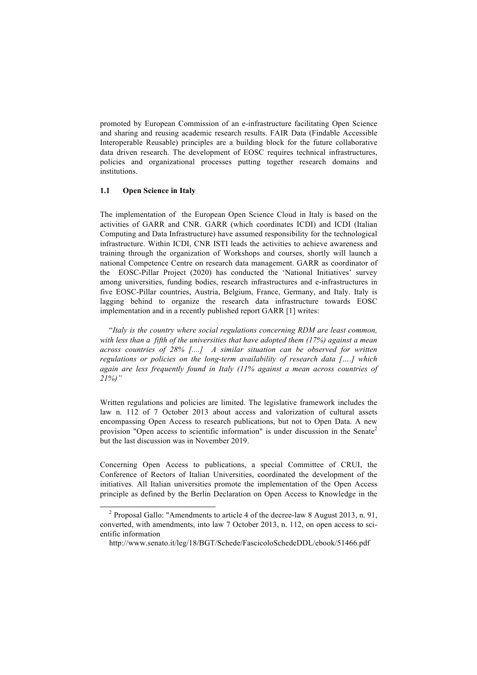promoted by European Commission of an e-infrastructure facilitating Open Science and sharing and reusing academic research results. FAIR Data (Findable Accessible Interoperable Reusable) principles are a building block for the future collaborative data driven research. The development of EOSC requires technical infrastructures, policies and organizational processes putting together research domains and institutions.

## **1.1 Open Science in Italy**

The implementation of the European Open Science Cloud in Italy is based on the activities of GARR and CNR. GARR (which coordinates ICDI) and ICDI (Italian Computing and Data Infrastructure) have assumed responsibility for the technological infrastructure. Within ICDI, CNR ISTI leads the activities to achieve awareness and training through the organization of Workshops and courses, shortly will launch a national Competence Centre on research data management. GARR as coordinator of the EOSC-Pillar Project (2020) has conducted the 'National Initiatives' survey among universities, funding bodies, research infrastructures and e-infrastructures in five EOSC-Pillar countries, Austria, Belgium, France, Germany, and Italy. Italy is lagging behind to organize the research data infrastructure towards EOSC implementation and in a recently published report GARR [1] writes:

"*Italy is the country where social regulations concerning RDM are least common, with less than a fifth of the universities that have adopted them (17%) against a mean across countries of 28% [....] A similar situation can be observed for written regulations or policies on the long-term availability of research data [….] which again are less frequently found in Italy (11% against a mean across countries of 21%)"*

Written regulations and policies are limited. The legislative framework includes the law n. 112 of 7 October 2013 about access and valorization of cultural assets encompassing Open Access to research publications, but not to Open Data. A new provision "Open access to scientific information" is under discussion in the Senate<sup>2</sup> but the last discussion was in November 2019.

Concerning Open Access to publications, a special Committee of CRUI, the Conference of Rectors of Italian Universities, coordinated the development of the initiatives. All Italian universities promote the implementation of the Open Access principle as defined by the Berlin Declaration on Open Access to Knowledge in the

http://www.senato.it/leg/18/BGT/Schede/FascicoloSchedeDDL/ebook/51466.pdf

<sup>&</sup>lt;sup>2</sup> Proposal Gallo: "Amendments to article 4 of the decree-law 8 August 2013, n. 91, converted, with amendments, into law 7 October 2013, n. 112, on open access to scientific information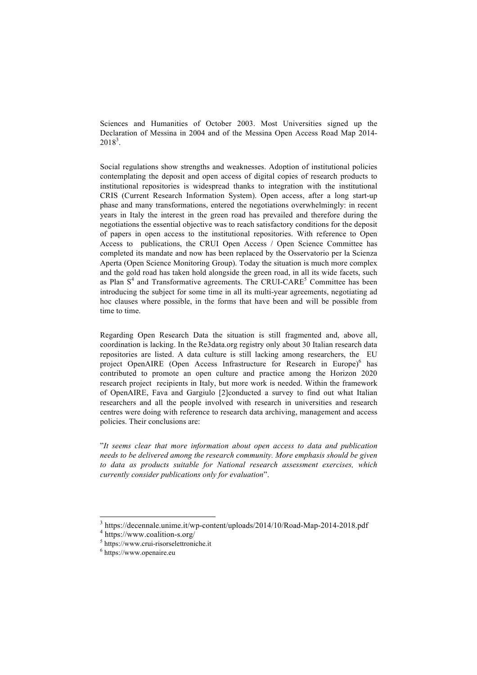Sciences and Humanities of October 2003. Most Universities signed up the Declaration of Messina in 2004 and of the Messina Open Access Road Map 2014-  $2018^3$ .

Social regulations show strengths and weaknesses. Adoption of institutional policies contemplating the deposit and open access of digital copies of research products to institutional repositories is widespread thanks to integration with the institutional CRIS (Current Research Information System). Open access, after a long start-up phase and many transformations, entered the negotiations overwhelmingly: in recent years in Italy the interest in the green road has prevailed and therefore during the negotiations the essential objective was to reach satisfactory conditions for the deposit of papers in open access to the institutional repositories. With reference to Open Access to publications, the CRUI Open Access / Open Science Committee has completed its mandate and now has been replaced by the Osservatorio per la Scienza Aperta (Open Science Monitoring Group). Today the situation is much more complex and the gold road has taken hold alongside the green road, in all its wide facets, such as Plan  $S<sup>4</sup>$  and Transformative agreements. The CRUI-CARE<sup>5</sup> Committee has been introducing the subject for some time in all its multi-year agreements, negotiating ad hoc clauses where possible, in the forms that have been and will be possible from time to time.

Regarding Open Research Data the situation is still fragmented and, above all, coordination is lacking. In the Re3data.org registry only about 30 Italian research data repositories are listed. A data culture is still lacking among researchers, the EU project OpenAIRE (Open Access Infrastructure for Research in Europe)<sup>6</sup> has contributed to promote an open culture and practice among the Horizon 2020 research project recipients in Italy, but more work is needed. Within the framework of OpenAIRE, Fava and Gargiulo [2]conducted a survey to find out what Italian researchers and all the people involved with research in universities and research centres were doing with reference to research data archiving, management and access policies. Their conclusions are:

"*It seems clear that more information about open access to data and publication needs to be delivered among the research community. More emphasis should be given to data as products suitable for National research assessment exercises, which currently consider publications only for evaluation*".

 $^3$ https://decennale.unime.it/wp-content/uploads/2014/10/Road-Map-2014-2018.pdf $^4$ https://www.coalition-s.org/

 $5$  https://www.crui-risorselettroniche.it

 $6$  https://www.openaire.eu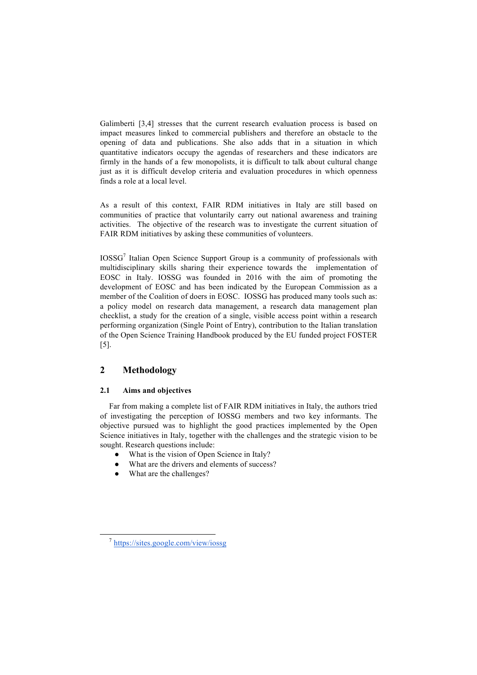Galimberti [3,4] stresses that the current research evaluation process is based on impact measures linked to commercial publishers and therefore an obstacle to the opening of data and publications. She also adds that in a situation in which quantitative indicators occupy the agendas of researchers and these indicators are firmly in the hands of a few monopolists, it is difficult to talk about cultural change just as it is difficult develop criteria and evaluation procedures in which openness finds a role at a local level.

As a result of this context, FAIR RDM initiatives in Italy are still based on communities of practice that voluntarily carry out national awareness and training activities. The objective of the research was to investigate the current situation of FAIR RDM initiatives by asking these communities of volunteers.

IOSSG<sup>7</sup> Italian Open Science Support Group is a community of professionals with multidisciplinary skills sharing their experience towards the implementation of EOSC in Italy. IOSSG was founded in 2016 with the aim of promoting the development of EOSC and has been indicated by the European Commission as a member of the Coalition of doers in EOSC. IOSSG has produced many tools such as: a policy model on research data management, a research data management plan checklist, a study for the creation of a single, visible access point within a research performing organization (Single Point of Entry), contribution to the Italian translation of the Open Science Training Handbook produced by the EU funded project FOSTER [5].

# **2 Methodology**

## **2.1 Aims and objectives**

Far from making a complete list of FAIR RDM initiatives in Italy, the authors tried of investigating the perception of IOSSG members and two key informants. The objective pursued was to highlight the good practices implemented by the Open Science initiatives in Italy, together with the challenges and the strategic vision to be sought. Research questions include:

- What is the vision of Open Science in Italy?
- What are the drivers and elements of success?
- What are the challenges?

 <sup>7</sup> https://sites.google.com/view/iossg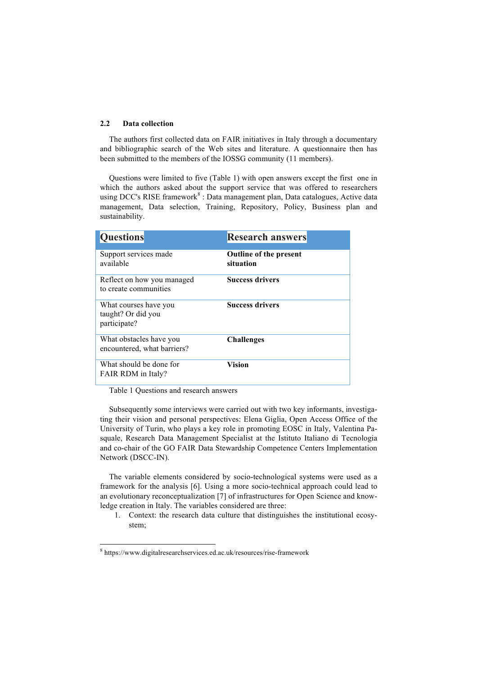#### **2.2 Data collection**

The authors first collected data on FAIR initiatives in Italy through a documentary and bibliographic search of the Web sites and literature. A questionnaire then has been submitted to the members of the IOSSG community (11 members).

Questions were limited to five (Table 1) with open answers except the first one in which the authors asked about the support service that was offered to researchers using DCC's RISE framework<sup>8</sup>: Data management plan, Data catalogues, Active data management, Data selection, Training, Repository, Policy, Business plan and sustainability.

| <b>Questions</b>                                            | <b>Research answers</b>                    |
|-------------------------------------------------------------|--------------------------------------------|
| Support services made<br>available                          | <b>Outline of the present</b><br>situation |
| Reflect on how you managed<br>to create communities         | <b>Success drivers</b>                     |
| What courses have you<br>taught? Or did you<br>participate? | <b>Success drivers</b>                     |
| What obstacles have you<br>encountered, what barriers?      | <b>Challenges</b>                          |
| What should be done for<br>FAIR RDM in Italy?               | <b>Vision</b>                              |

Table 1 Questions and research answers

Subsequently some interviews were carried out with two key informants, investigating their vision and personal perspectives: Elena Giglia, Open Access Office of the University of Turin, who plays a key role in promoting EOSC in Italy, Valentina Pasquale, Research Data Management Specialist at the Istituto Italiano di Tecnologia and co-chair of the GO FAIR Data Stewardship Competence Centers Implementation Network (DSCC-IN).

The variable elements considered by socio-technological systems were used as a framework for the analysis [6]. Using a more socio-technical approach could lead to an evolutionary reconceptualization [7] of infrastructures for Open Science and knowledge creation in Italy. The variables considered are three:

1. Context: the research data culture that distinguishes the institutional ecosystem;

 <sup>8</sup> https://www.digitalresearchservices.ed.ac.uk/resources/rise-framework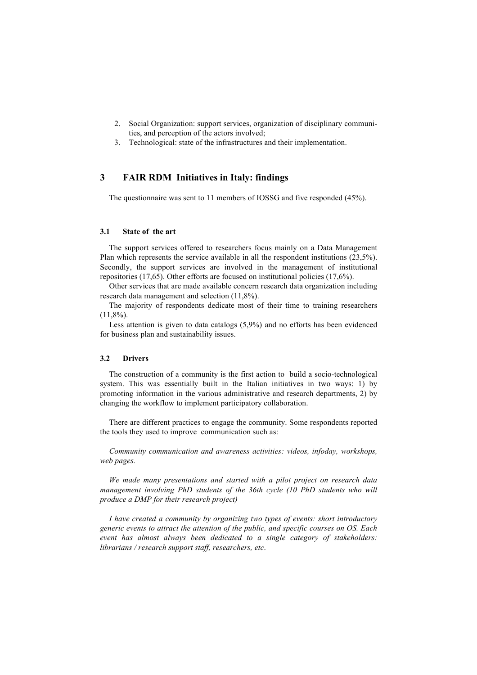- 2. Social Organization: support services, organization of disciplinary communities, and perception of the actors involved;
- 3. Technological: state of the infrastructures and their implementation.

## **3 FAIR RDM Initiatives in Italy: findings**

The questionnaire was sent to 11 members of IOSSG and five responded (45%).

## **3.1 State of the art**

The support services offered to researchers focus mainly on a Data Management Plan which represents the service available in all the respondent institutions (23,5%). Secondly, the support services are involved in the management of institutional repositories (17,65). Other efforts are focused on institutional policies (17,6%).

Other services that are made available concern research data organization including research data management and selection (11,8%).

The majority of respondents dedicate most of their time to training researchers  $(11.8\%)$ .

Less attention is given to data catalogs (5,9%) and no efforts has been evidenced for business plan and sustainability issues.

### **3.2 Drivers**

The construction of a community is the first action to build a socio-technological system. This was essentially built in the Italian initiatives in two ways: 1) by promoting information in the various administrative and research departments, 2) by changing the workflow to implement participatory collaboration.

There are different practices to engage the community. Some respondents reported the tools they used to improve communication such as:

*Community communication and awareness activities: videos, infoday, workshops, web pages.*

*We made many presentations and started with a pilot project on research data management involving PhD students of the 36th cycle (10 PhD students who will produce a DMP for their research project)*

*I have created a community by organizing two types of events: short introductory generic events to attract the attention of the public, and specific courses on OS. Each event has almost always been dedicated to a single category of stakeholders: librarians / research support staff, researchers, etc*.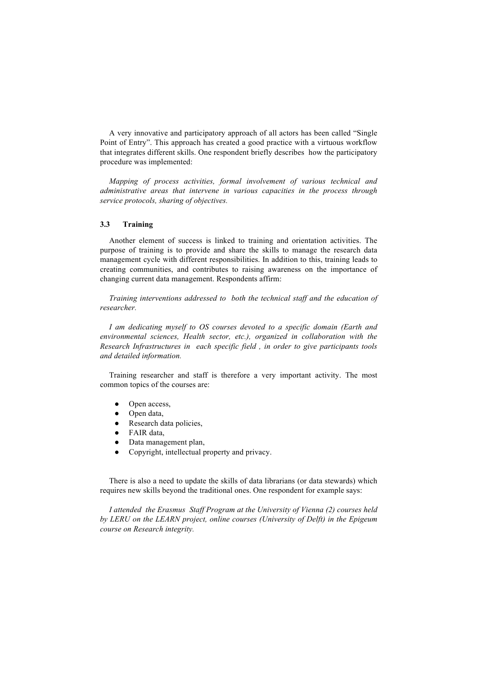A very innovative and participatory approach of all actors has been called "Single Point of Entry". This approach has created a good practice with a virtuous workflow that integrates different skills. One respondent briefly describes how the participatory procedure was implemented:

*Mapping of process activities, formal involvement of various technical and administrative areas that intervene in various capacities in the process through service protocols, sharing of objectives.*

## **3.3 Training**

Another element of success is linked to training and orientation activities. The purpose of training is to provide and share the skills to manage the research data management cycle with different responsibilities. In addition to this, training leads to creating communities, and contributes to raising awareness on the importance of changing current data management. Respondents affirm:

*Training interventions addressed to both the technical staff and the education of researcher.*

*I am dedicating myself to OS courses devoted to a specific domain (Earth and environmental sciences, Health sector, etc.), organized in collaboration with the Research Infrastructures in each specific field , in order to give participants tools and detailed information.*

Training researcher and staff is therefore a very important activity. The most common topics of the courses are:

- Open access,
- Open data,
- Research data policies,
- FAIR data,
- Data management plan,
- Copyright, intellectual property and privacy.

There is also a need to update the skills of data librarians (or data stewards) which requires new skills beyond the traditional ones. One respondent for example says:

*I attended the Erasmus Staff Program at the University of Vienna (2) courses held by LERU on the LEARN project, online courses (University of Delft) in the Epigeum course on Research integrity.*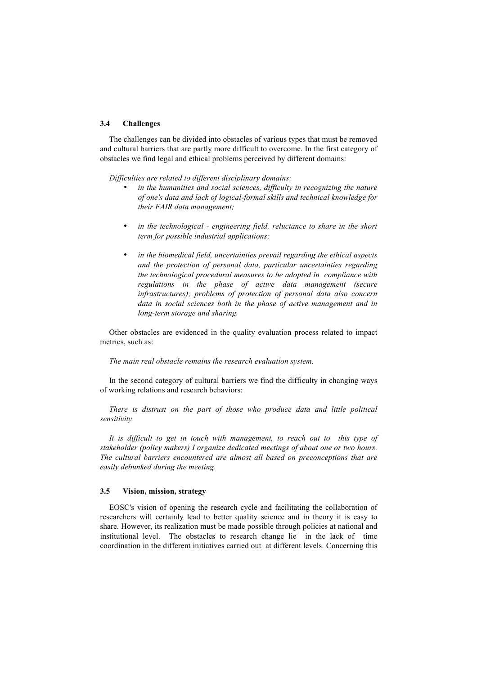## **3.4 Challenges**

The challenges can be divided into obstacles of various types that must be removed and cultural barriers that are partly more difficult to overcome. In the first category of obstacles we find legal and ethical problems perceived by different domains:

*Difficulties are related to different disciplinary domains:* 

- in the humanities and social sciences, difficulty in recognizing the nature *of one's data and lack of logical-formal skills and technical knowledge for their FAIR data management;*
- *in the technological - engineering field, reluctance to share in the short term for possible industrial applications;*
- *in the biomedical field, uncertainties prevail regarding the ethical aspects and the protection of personal data, particular uncertainties regarding the technological procedural measures to be adopted in compliance with regulations in the phase of active data management (secure infrastructures); problems of protection of personal data also concern data in social sciences both in the phase of active management and in long-term storage and sharing.*

Other obstacles are evidenced in the quality evaluation process related to impact metrics, such as:

#### *The main real obstacle remains the research evaluation system.*

In the second category of cultural barriers we find the difficulty in changing ways of working relations and research behaviors:

*There is distrust on the part of those who produce data and little political sensitivity*

*It is difficult to get in touch with management, to reach out to this type of stakeholder (policy makers) I organize dedicated meetings of about one or two hours. The cultural barriers encountered are almost all based on preconceptions that are easily debunked during the meeting.*

### **3.5 Vision, mission, strategy**

EOSC's vision of opening the research cycle and facilitating the collaboration of researchers will certainly lead to better quality science and in theory it is easy to share. However, its realization must be made possible through policies at national and institutional level. The obstacles to research change lie in the lack of time coordination in the different initiatives carried out at different levels. Concerning this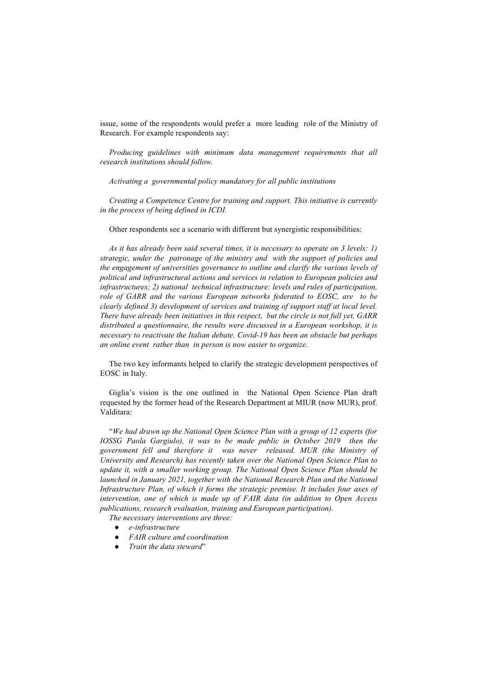issue, some of the respondents would prefer a more leading role of the Ministry of Research. For example respondents say:

*Producing guidelines with minimum data management requirements that all research institutions should follow.*

*Activating a governmental policy mandatory for all public institutions*

*Creating a Competence Centre for training and support. This initiative is currently in the process of being defined in ICDI.*

Other respondents see a scenario with different but synergistic responsibilities:

*As it has already been said several times, it is necessary to operate on 3 levels: 1) strategic, under the patronage of the ministry and with the support of policies and the engagement of universities governance to outline and clarify the various levels of political and infrastructural actions and services in relation to European policies and infrastructures; 2) national technical infrastructure: levels and rules of participation, role of GARR and the various European networks federated to EOSC, are to be clearly defined 3) development of services and training of support staff at local level. There have already been initiatives in this respect, but the circle is not full yet, GARR distributed a questionnaire, the results were discussed in a European workshop, it is necessary to reactivate the Italian debate. Covid-19 has been an obstacle but perhaps an online event rather than in person is now easier to organize.*

The two key informants helped to clarify the strategic development perspectives of EOSC in Italy.

Giglia's vision is the one outlined in the National Open Science Plan draft requested by the former head of the Research Department at MIUR (now MUR), prof. Valditara:

"*We had drawn up the National Open Science Plan with a group of 12 experts (for IOSSG Paola Gargiulo), it was to be made public in October 2019 then the government fell and therefore it was never released. MUR (the Ministry of University and Research) has recently taken over the National Open Science Plan to update it, with a smaller working group. The National Open Science Plan should be launched in January 2021, together with the National Research Plan and the National Infrastructure Plan, of which it forms the strategic premise. It includes four axes of intervention, one of which is made up of FAIR data (in addition to Open Access publications, research evaluation, training and European participation).*

*The necessary interventions are three:*

- *e-infrastructure*
- *FAIR culture and coordination*
- *Train the data steward*"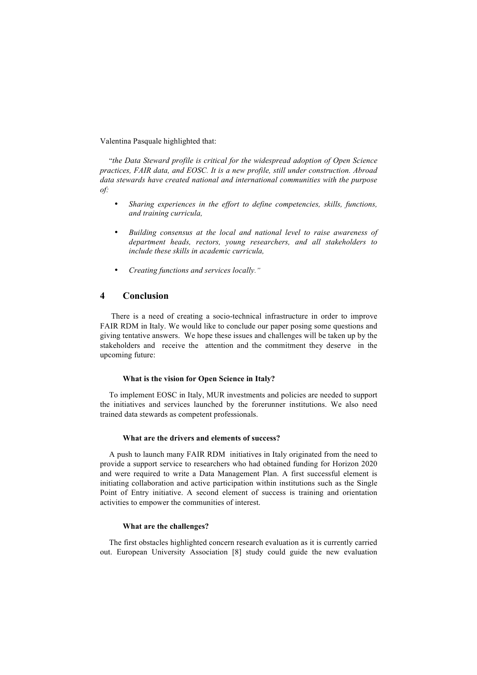Valentina Pasquale highlighted that:

"*the Data Steward profile is critical for the widespread adoption of Open Science practices, FAIR data, and EOSC. It is a new profile, still under construction. Abroad data stewards have created national and international communities with the purpose of:*

- *Sharing experiences in the effort to define competencies, skills, functions, and training curricula,*
- *Building consensus at the local and national level to raise awareness of department heads, rectors, young researchers, and all stakeholders to include these skills in academic curricula,*
- *Creating functions and services locally."*

## **4 Conclusion**

There is a need of creating a socio-technical infrastructure in order to improve FAIR RDM in Italy. We would like to conclude our paper posing some questions and giving tentative answers. We hope these issues and challenges will be taken up by the stakeholders and receive the attention and the commitment they deserve in the upcoming future:

#### **What is the vision for Open Science in Italy?**

To implement EOSC in Italy, MUR investments and policies are needed to support the initiatives and services launched by the forerunner institutions. We also need trained data stewards as competent professionals.

#### **What are the drivers and elements of success?**

A push to launch many FAIR RDM initiatives in Italy originated from the need to provide a support service to researchers who had obtained funding for Horizon 2020 and were required to write a Data Management Plan. A first successful element is initiating collaboration and active participation within institutions such as the Single Point of Entry initiative. A second element of success is training and orientation activities to empower the communities of interest.

## **What are the challenges?**

The first obstacles highlighted concern research evaluation as it is currently carried out. European University Association [8] study could guide the new evaluation